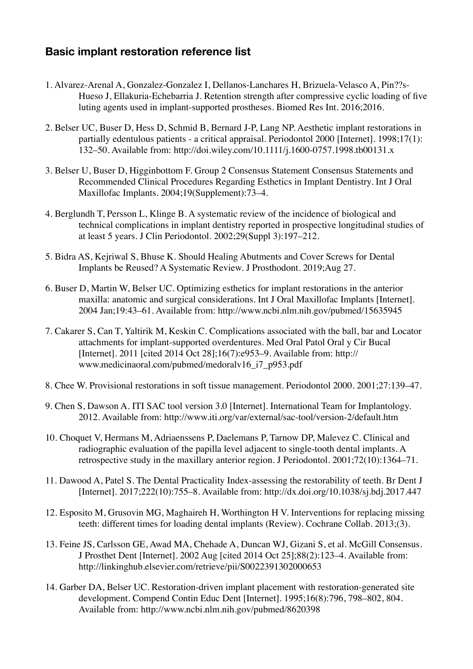## **Basic implant restoration reference list**

- 1. Alvarez-Arenal A, Gonzalez-Gonzalez I, Dellanos-Lanchares H, Brizuela-Velasco A, Pin??s-Hueso J, Ellakuria-Echebarria J. Retention strength after compressive cyclic loading of five luting agents used in implant-supported prostheses. Biomed Res Int. 2016;2016.
- 2. Belser UC, Buser D, Hess D, Schmid B, Bernard J-P, Lang NP. Aesthetic implant restorations in partially edentulous patients - a critical appraisal. Periodontol 2000 [Internet]. 1998;17(1): 132–50. Available from: http://doi.wiley.com/10.1111/j.1600-0757.1998.tb00131.x
- 3. Belser U, Buser D, Higginbottom F. Group 2 Consensus Statement Consensus Statements and Recommended Clinical Procedures Regarding Esthetics in Implant Dentistry. Int J Oral Maxillofac Implants. 2004;19(Supplement):73–4.
- 4. Berglundh T, Persson L, Klinge B. A systematic review of the incidence of biological and technical complications in implant dentistry reported in prospective longitudinal studies of at least 5 years. J Clin Periodontol. 2002;29(Suppl 3):197–212.
- 5. Bidra AS, Kejriwal S, Bhuse K. Should Healing Abutments and Cover Screws for Dental Implants be Reused? A Systematic Review. J Prosthodont. 2019;Aug 27.
- 6. Buser D, Martin W, Belser UC. Optimizing esthetics for implant restorations in the anterior maxilla: anatomic and surgical considerations. Int J Oral Maxillofac Implants [Internet]. 2004 Jan;19:43–61. Available from: http://www.ncbi.nlm.nih.gov/pubmed/15635945
- 7. Cakarer S, Can T, Yaltirik M, Keskin C. Complications associated with the ball, bar and Locator attachments for implant-supported overdentures. Med Oral Patol Oral y Cir Bucal [Internet]. 2011 [cited 2014 Oct 28];16(7):e953–9. Available from: http:// www.medicinaoral.com/pubmed/medoralv16\_i7\_p953.pdf
- 8. Chee W. Provisional restorations in soft tissue management. Periodontol 2000. 2001;27:139–47.
- 9. Chen S, Dawson A. ITI SAC tool version 3.0 [Internet]. International Team for Implantology. 2012. Available from: http://www.iti.org/var/external/sac-tool/version-2/default.htm
- 10. Choquet V, Hermans M, Adriaenssens P, Daelemans P, Tarnow DP, Malevez C. Clinical and radiographic evaluation of the papilla level adjacent to single-tooth dental implants. A retrospective study in the maxillary anterior region. J Periodontol. 2001;72(10):1364–71.
- 11. Dawood A, Patel S. The Dental Practicality Index-assessing the restorability of teeth. Br Dent J [Internet]. 2017;222(10):755–8. Available from: http://dx.doi.org/10.1038/sj.bdj.2017.447
- 12. Esposito M, Grusovin MG, Maghaireh H, Worthington H V. Interventions for replacing missing teeth: different times for loading dental implants (Review). Cochrane Collab. 2013;(3).
- 13. Feine JS, Carlsson GE, Awad MA, Chehade A, Duncan WJ, Gizani S, et al. McGill Consensus. J Prosthet Dent [Internet]. 2002 Aug [cited 2014 Oct 25];88(2):123–4. Available from: http://linkinghub.elsevier.com/retrieve/pii/S0022391302000653
- 14. Garber DA, Belser UC. Restoration-driven implant placement with restoration-generated site development. Compend Contin Educ Dent [Internet]. 1995;16(8):796, 798–802, 804. Available from: http://www.ncbi.nlm.nih.gov/pubmed/8620398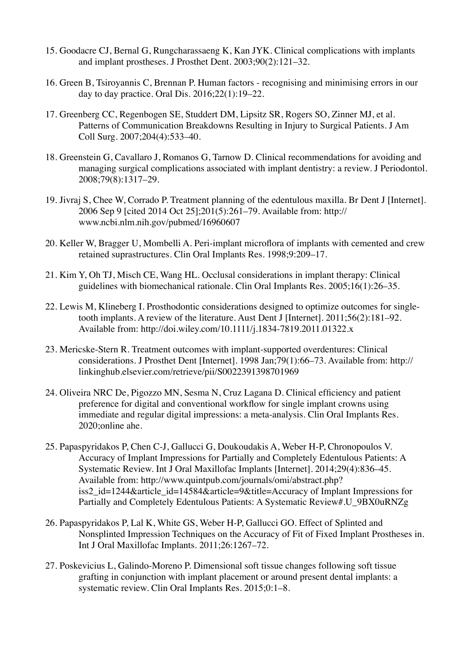- 15. Goodacre CJ, Bernal G, Rungcharassaeng K, Kan JYK. Clinical complications with implants and implant prostheses. J Prosthet Dent. 2003;90(2):121–32.
- 16. Green B, Tsiroyannis C, Brennan P. Human factors recognising and minimising errors in our day to day practice. Oral Dis. 2016;22(1):19–22.
- 17. Greenberg CC, Regenbogen SE, Studdert DM, Lipsitz SR, Rogers SO, Zinner MJ, et al. Patterns of Communication Breakdowns Resulting in Injury to Surgical Patients. J Am Coll Surg. 2007;204(4):533–40.
- 18. Greenstein G, Cavallaro J, Romanos G, Tarnow D. Clinical recommendations for avoiding and managing surgical complications associated with implant dentistry: a review. J Periodontol. 2008;79(8):1317–29.
- 19. Jivraj S, Chee W, Corrado P. Treatment planning of the edentulous maxilla. Br Dent J [Internet]. 2006 Sep 9 [cited 2014 Oct 25];201(5):261–79. Available from: http:// www.ncbi.nlm.nih.gov/pubmed/16960607
- 20. Keller W, Bragger U, Mombelli A. Peri-implant microflora of implants with cemented and crew retained suprastructures. Clin Oral Implants Res. 1998;9:209–17.
- 21. Kim Y, Oh TJ, Misch CE, Wang HL. Occlusal considerations in implant therapy: Clinical guidelines with biomechanical rationale. Clin Oral Implants Res. 2005;16(1):26–35.
- 22. Lewis M, Klineberg I. Prosthodontic considerations designed to optimize outcomes for singletooth implants. A review of the literature. Aust Dent J [Internet]. 2011;56(2):181–92. Available from: http://doi.wiley.com/10.1111/j.1834-7819.2011.01322.x
- 23. Mericske-Stern R. Treatment outcomes with implant-supported overdentures: Clinical considerations. J Prosthet Dent [Internet]. 1998 Jan;79(1):66–73. Available from: http:// linkinghub.elsevier.com/retrieve/pii/S0022391398701969
- 24. Oliveira NRC De, Pigozzo MN, Sesma N, Cruz Lagana D. Clinical efficiency and patient preference for digital and conventional workflow for single implant crowns using immediate and regular digital impressions: a meta-analysis. Clin Oral Implants Res. 2020;online ahe.
- 25. Papaspyridakos P, Chen C-J, Gallucci G, Doukoudakis A, Weber H-P, Chronopoulos V. Accuracy of Implant Impressions for Partially and Completely Edentulous Patients: A Systematic Review. Int J Oral Maxillofac Implants [Internet]. 2014;29(4):836–45. Available from: http://www.quintpub.com/journals/omi/abstract.php? iss2 id=1244&article id=14584&article=9&title=Accuracy of Implant Impressions for Partially and Completely Edentulous Patients: A Systematic Review#.U\_9BX0uRNZg
- 26. Papaspyridakos P, Lal K, White GS, Weber H-P, Gallucci GO. Effect of Splinted and Nonsplinted Impression Techniques on the Accuracy of Fit of Fixed Implant Prostheses in. Int J Oral Maxillofac Implants. 2011;26:1267–72.
- 27. Poskevicius L, Galindo-Moreno P. Dimensional soft tissue changes following soft tissue grafting in conjunction with implant placement or around present dental implants: a systematic review. Clin Oral Implants Res. 2015;0:1–8.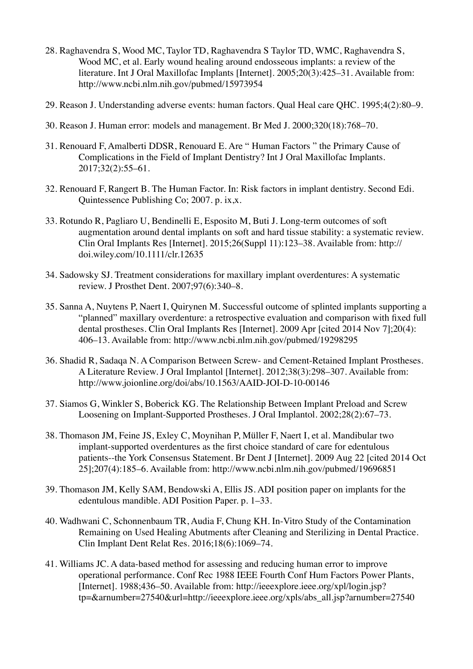- 28. Raghavendra S, Wood MC, Taylor TD, Raghavendra S Taylor TD, WMC, Raghavendra S, Wood MC, et al. Early wound healing around endosseous implants: a review of the literature. Int J Oral Maxillofac Implants [Internet]. 2005;20(3):425–31. Available from: http://www.ncbi.nlm.nih.gov/pubmed/15973954
- 29. Reason J. Understanding adverse events: human factors. Qual Heal care QHC. 1995;4(2):80–9.
- 30. Reason J. Human error: models and management. Br Med J. 2000;320(18):768–70.
- 31. Renouard F, Amalberti DDSR, Renouard E. Are " Human Factors " the Primary Cause of Complications in the Field of Implant Dentistry? Int J Oral Maxillofac Implants. 2017;32(2):55–61.
- 32. Renouard F, Rangert B. The Human Factor. In: Risk factors in implant dentistry. Second Edi. Quintessence Publishing Co; 2007. p. ix,x.
- 33. Rotundo R, Pagliaro U, Bendinelli E, Esposito M, Buti J. Long-term outcomes of soft augmentation around dental implants on soft and hard tissue stability: a systematic review. Clin Oral Implants Res [Internet]. 2015;26(Suppl 11):123–38. Available from: http:// doi.wiley.com/10.1111/clr.12635
- 34. Sadowsky SJ. Treatment considerations for maxillary implant overdentures: A systematic review. J Prosthet Dent. 2007;97(6):340–8.
- 35. Sanna A, Nuytens P, Naert I, Quirynen M. Successful outcome of splinted implants supporting a "planned" maxillary overdenture: a retrospective evaluation and comparison with fixed full dental prostheses. Clin Oral Implants Res [Internet]. 2009 Apr [cited 2014 Nov 7];20(4): 406–13. Available from: http://www.ncbi.nlm.nih.gov/pubmed/19298295
- 36. Shadid R, Sadaqa N. A Comparison Between Screw- and Cement-Retained Implant Prostheses. A Literature Review. J Oral Implantol [Internet]. 2012:38(3):298–307. Available from: http://www.joionline.org/doi/abs/10.1563/AAID-JOI-D-10-00146
- 37. Siamos G, Winkler S, Boberick KG. The Relationship Between Implant Preload and Screw Loosening on Implant-Supported Prostheses. J Oral Implantol. 2002;28(2):67–73.
- 38. Thomason JM, Feine JS, Exley C, Moynihan P, Müller F, Naert I, et al. Mandibular two implant-supported overdentures as the first choice standard of care for edentulous patients--the York Consensus Statement. Br Dent J [Internet]. 2009 Aug 22 [cited 2014 Oct 25];207(4):185–6. Available from: http://www.ncbi.nlm.nih.gov/pubmed/19696851
- 39. Thomason JM, Kelly SAM, Bendowski A, Ellis JS. ADI position paper on implants for the edentulous mandible. ADI Position Paper. p. 1–33.
- 40. Wadhwani C, Schonnenbaum TR, Audia F, Chung KH. In-Vitro Study of the Contamination Remaining on Used Healing Abutments after Cleaning and Sterilizing in Dental Practice. Clin Implant Dent Relat Res. 2016;18(6):1069–74.
- 41. Williams JC. A data-based method for assessing and reducing human error to improve operational performance. Conf Rec 1988 IEEE Fourth Conf Hum Factors Power Plants, [Internet]. 1988;436–50. Available from: http://ieeexplore.ieee.org/xpl/login.jsp? tp=&arnumber=27540&url=http://ieeexplore.ieee.org/xpls/abs\_all.jsp?arnumber=27540